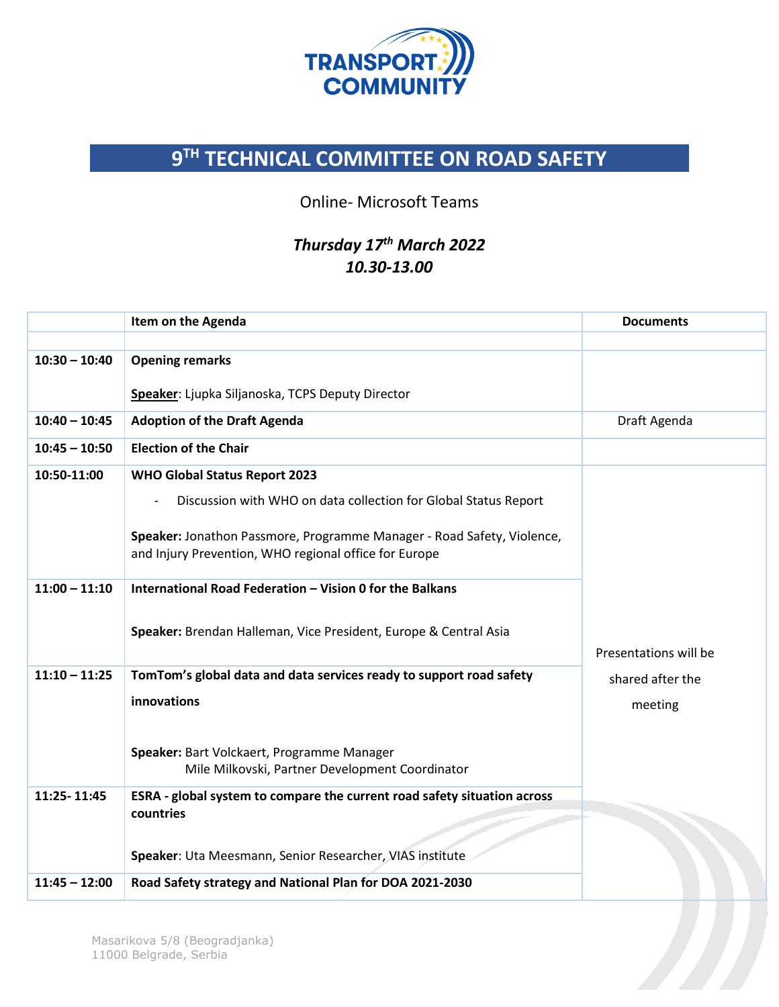

## **9 TH TECHNICAL COMMITTEE ON ROAD SAFETY**

## Online- Microsoft Teams

## *Thursday 17th March 2022 10.30-13.00*

|                 | Item on the Agenda                                                                                                              | <b>Documents</b>      |
|-----------------|---------------------------------------------------------------------------------------------------------------------------------|-----------------------|
|                 |                                                                                                                                 |                       |
| $10:30 - 10:40$ | <b>Opening remarks</b>                                                                                                          |                       |
|                 | Speaker: Ljupka Siljanoska, TCPS Deputy Director                                                                                |                       |
| $10:40 - 10:45$ | <b>Adoption of the Draft Agenda</b>                                                                                             | Draft Agenda          |
| $10:45 - 10:50$ | <b>Election of the Chair</b>                                                                                                    |                       |
| 10:50-11:00     | <b>WHO Global Status Report 2023</b>                                                                                            |                       |
|                 | Discussion with WHO on data collection for Global Status Report                                                                 |                       |
|                 |                                                                                                                                 |                       |
|                 | Speaker: Jonathon Passmore, Programme Manager - Road Safety, Violence,<br>and Injury Prevention, WHO regional office for Europe |                       |
|                 |                                                                                                                                 |                       |
| $11:00 - 11:10$ | International Road Federation - Vision 0 for the Balkans                                                                        |                       |
|                 |                                                                                                                                 |                       |
|                 | Speaker: Brendan Halleman, Vice President, Europe & Central Asia                                                                |                       |
|                 |                                                                                                                                 | Presentations will be |
| $11:10 - 11:25$ | TomTom's global data and data services ready to support road safety                                                             | shared after the      |
|                 | innovations                                                                                                                     | meeting               |
|                 |                                                                                                                                 |                       |
|                 | Speaker: Bart Volckaert, Programme Manager                                                                                      |                       |
|                 | Mile Milkovski, Partner Development Coordinator                                                                                 |                       |
| 11:25-11:45     | ESRA - global system to compare the current road safety situation across                                                        |                       |
|                 | countries                                                                                                                       |                       |
|                 |                                                                                                                                 |                       |
|                 | Speaker: Uta Meesmann, Senior Researcher, VIAS institute                                                                        |                       |
| $11:45 - 12:00$ | Road Safety strategy and National Plan for DOA 2021-2030                                                                        |                       |